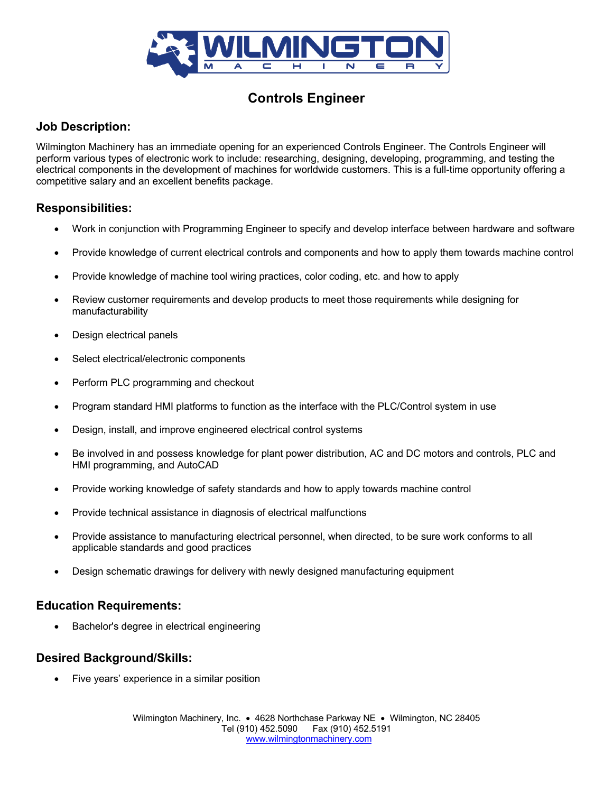

# **Controls Engineer**

# **Job Description:**

Wilmington Machinery has an immediate opening for an experienced Controls Engineer. The Controls Engineer will perform various types of electronic work to include: researching, designing, developing, programming, and testing the electrical components in the development of machines for worldwide customers. This is a full-time opportunity offering a competitive salary and an excellent benefits package.

## **Responsibilities:**

- Work in conjunction with Programming Engineer to specify and develop interface between hardware and software
- Provide knowledge of current electrical controls and components and how to apply them towards machine control
- Provide knowledge of machine tool wiring practices, color coding, etc. and how to apply
- Review customer requirements and develop products to meet those requirements while designing for manufacturability
- Design electrical panels
- Select electrical/electronic components
- Perform PLC programming and checkout
- Program standard HMI platforms to function as the interface with the PLC/Control system in use
- Design, install, and improve engineered electrical control systems
- Be involved in and possess knowledge for plant power distribution, AC and DC motors and controls, PLC and HMI programming, and AutoCAD
- Provide working knowledge of safety standards and how to apply towards machine control
- Provide technical assistance in diagnosis of electrical malfunctions
- Provide assistance to manufacturing electrical personnel, when directed, to be sure work conforms to all applicable standards and good practices
- Design schematic drawings for delivery with newly designed manufacturing equipment

#### **Education Requirements:**

• Bachelor's degree in electrical engineering

#### **Desired Background/Skills:**

• Five years' experience in a similar position